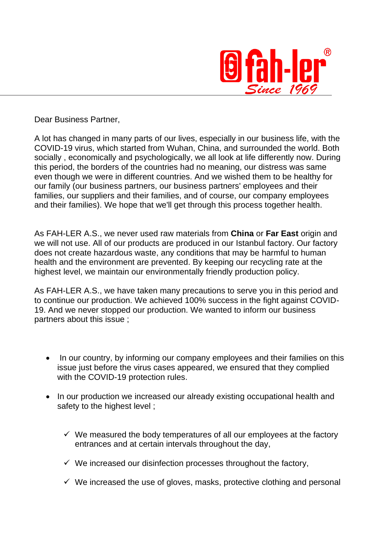

Dear Business Partner,

 $\overline{a}$ 

A lot has changed in many parts of our lives, especially in our business life, with the COVID-19 virus, which started from Wuhan, China, and surrounded the world. Both socially , economically and psychologically, we all look at life differently now. During this period, the borders of the countries had no meaning, our distress was same even though we were in different countries. And we wished them to be healthy for our family (our business partners, our business partners' employees and their families, our suppliers and their families, and of course, our company employees and their families). We hope that we'll get through this process together health.

As FAH-LER A.S., we never used raw materials from **China** or **Far East** origin and we will not use. All of our products are produced in our Istanbul factory. Our factory does not create hazardous waste, any conditions that may be harmful to human health and the environment are prevented. By keeping our recycling rate at the highest level, we maintain our environmentally friendly production policy.

As FAH-LER A.S., we have taken many precautions to serve you in this period and to continue our production. We achieved 100% success in the fight against COVID-19. And we never stopped our production. We wanted to inform our business partners about this issue ;

- In our country, by informing our company employees and their families on this issue just before the virus cases appeared, we ensured that they complied with the COVID-19 protection rules.
- In our production we increased our already existing occupational health and safety to the highest level ;
	- $\checkmark$  We measured the body temperatures of all our employees at the factory entrances and at certain intervals throughout the day,
	- $\checkmark$  We increased our disinfection processes throughout the factory,
	- $\checkmark$  We increased the use of gloves, masks, protective clothing and personal